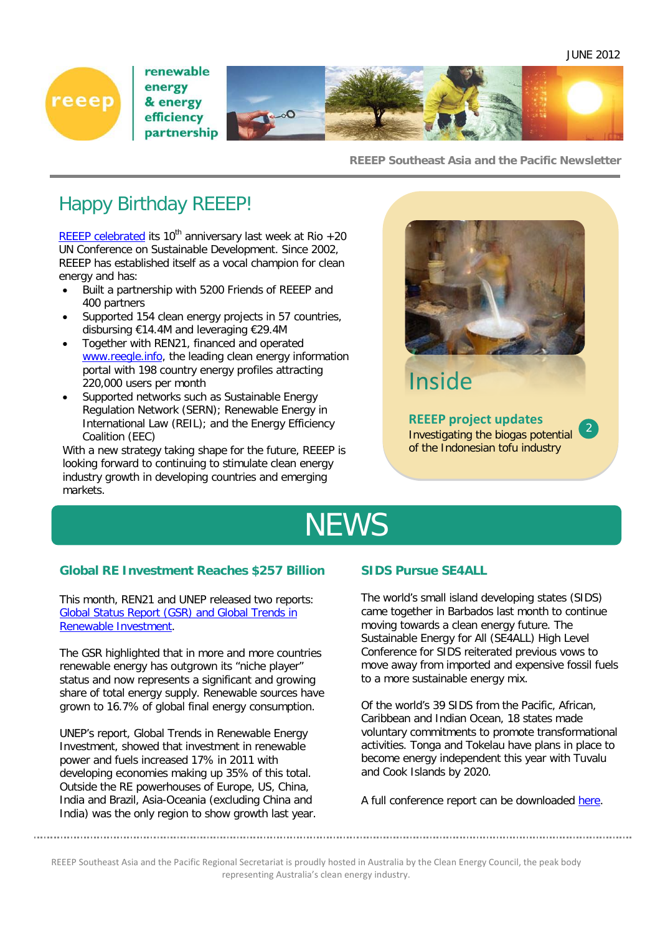

renewable energy & energy efficiency partnership



#### **REEEP Southeast Asia and the Pacific Newsletter**

## Happy Birthday REEEP!

[REEEP celebrated](http://www.reeep.org/31/home.htm) its 10<sup>th</sup> anniversary last week at Rio  $+20$ UN Conference on Sustainable Development. Since 2002, REEEP has established itself as a vocal champion for clean energy and has:

- Built a partnership with 5200 Friends of REEEP and 400 partners
- Supported 154 clean energy projects in 57 countries, disbursing €14.4M and leveraging €29.4M
- Together with REN21, financed and operated [www.reegle.info,](http://www.reegle.info/) the leading clean energy information portal with 198 country energy profiles attracting 220,000 users per month
- Supported networks such as Sustainable Energy Regulation Network (SERN); Renewable Energy in International Law (REIL); and the Energy Efficiency Coalition (EEC)

With a new strategy taking shape for the future, REEEP is looking forward to continuing to stimulate clean energy industry growth in developing countries and emerging markets.



## Inside

**REEEP project updates** Investigating the biogas potential of the Indonesian tofu industry

# **NEWS**

#### **Global RE Investment Reaches \$257 Billion**

This month, REN21 and UNEP released two reports: [Global Status Report \(GSR\) and Global Trends in](http://www.reeep.org/index.php?id=443&special=showHotTopic&iHotId=861)  [Renewable Investment.](http://www.reeep.org/index.php?id=443&special=showHotTopic&iHotId=861)

The GSR highlighted that in more and more countries renewable energy has outgrown its "niche player" status and now represents a significant and growing share of total energy supply. Renewable sources have grown to 16.7% of global final energy consumption.

UNEP's report, Global Trends in Renewable Energy Investment, showed that investment in renewable power and fuels increased 17% in 2011 with developing economies making up 35% of this total. Outside the RE powerhouses of Europe, US, China, India and Brazil, Asia-Oceania (excluding China and India) was the only region to show growth last year.

#### **SIDS Pursue SE4ALL**

The world's small island developing states (SIDS) came together in Barbados last month to continue moving towards a clean energy future. The Sustainable Energy for All (SE4ALL) High Level Conference for SIDS reiterated previous vows to move away from imported and expensive fossil fuels to a more sustainable energy mix.

Of the world's 39 SIDS from the Pacific, African, Caribbean and Indian Ocean, 18 states made voluntary commitments to promote transformational activities. Tonga and Tokelau have plans in place to become energy independent this year with Tuvalu and Cook Islands by 2020.

A full conference report can be downloaded [here.](http://www.reeep.org/index.php?id=443&special=showHotTopic&iHotId=861)

REEEP Southeast Asia and the Pacific Regional Secretariat is proudly hosted in Australia by the Clean Energy Council, the peak body representing Australia's clean energy industry.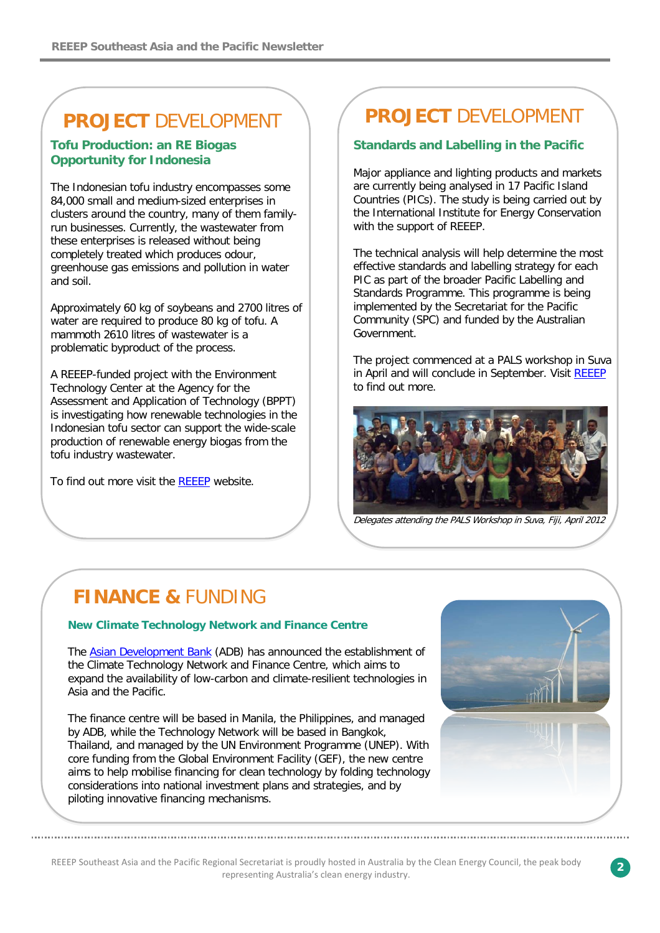## **PROJECT** DEVELOPMENT

#### **Tofu Production: an RE Biogas Opportunity for Indonesia**

The Indonesian tofu industry encompasses some 84,000 small and medium-sized enterprises in clusters around the country, many of them familyrun businesses. Currently, the wastewater from these enterprises is released without being completely treated which produces odour, greenhouse gas emissions and pollution in water and soil.

Approximately 60 kg of soybeans and 2700 litres of water are required to produce 80 kg of tofu. A mammoth 2610 litres of wastewater is a problematic byproduct of the process.

A REEEP-funded project with the Environment Technology Center at the Agency for the Assessment and Application of Technology (BPPT) is investigating how renewable technologies in the Indonesian tofu sector can support the wide-scale production of renewable energy biogas from the tofu industry wastewater.

To find out more visit the [REEEP](http://www.reeep.org/57.22892/tofu-production-a-massive-opportunity-for-re-biogas-in-indonesia.htm) website.

## **PROJECT** DEVELOPMENT

#### **Standards and Labelling in the Pacific**

Major appliance and lighting products and markets are currently being analysed in 17 Pacific Island Countries (PICs). The study is being carried out by the International Institute for Energy Conservation with the support of REEEP.

The technical analysis will help determine the most effective standards and labelling strategy for each PIC as part of the broader Pacific Labelling and Standards Programme. This programme is being implemented by the Secretariat for the Pacific Community (SPC) and funded by the Australian Government.

The project commenced at a PALS workshop in Suva in April and will conclude in September. Visit [REEEP](http://www.reeep.org/index.php?id=443&special=showHotTopic&iHotId=861) to find out more.



Delegates attending the PALS Workshop in Suva, Fiji, April 2012

## **FINANCE &** FUNDING

#### **New Climate Technology Network and Finance Centre**

The [Asian Development Bank](http://www.adb.org/) (ADB) has announced the establishment of the Climate Technology Network and Finance Centre, which aims to expand the availability of low-carbon and climate-resilient technologies in Asia and the Pacific.

The finance centre will be based in Manila, the Philippines, and managed by ADB, while the Technology Network will be based in Bangkok, Thailand, and managed by the UN Environment Programme (UNEP). With core funding from the Global Environment Facility (GEF), the new centre aims to help mobilise financing for clean technology by folding technology considerations into national investment plans and strategies, and by piloting innovative financing mechanisms.



REEEP Southeast Asia and the Pacific Regional Secretariat is proudly hosted in Australia by the Clean Energy Council, the peak body representing Australia's clean energy industry.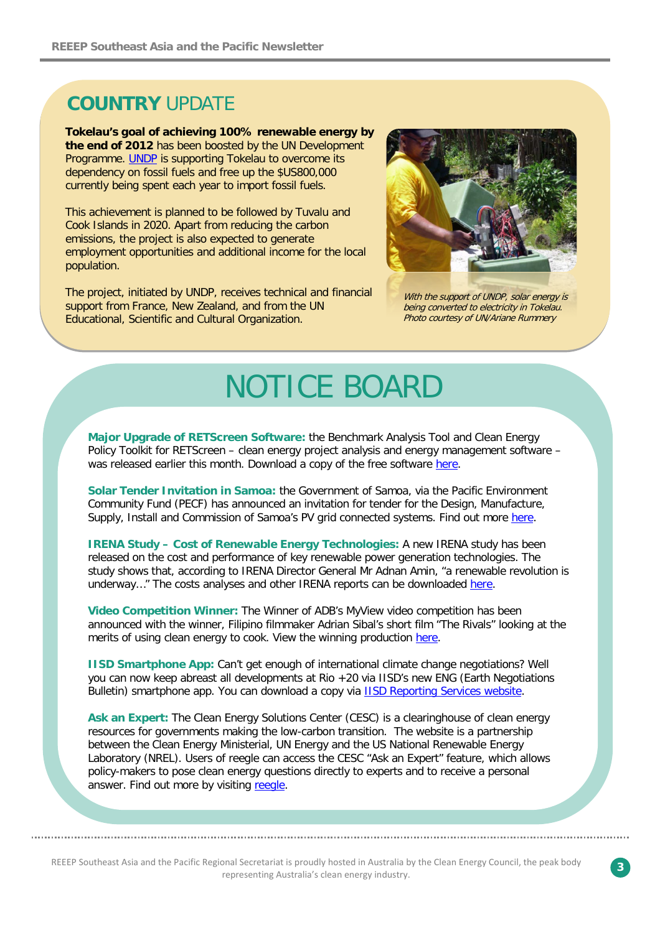## **COUNTRY** UPDATE

**Tokelau's goal of achieving 100% renewable energy by the end of 2012** has been boosted by the UN Development Programme. [UNDP](http://www.undp.org/content/undp/en/home/presscenter/articles/2012/05/07/tokelau-aims-for-100-renewable-energy-in-2012/) is supporting Tokelau to overcome its dependency on fossil fuels and free up the \$US800,000 currently being spent each year to import fossil fuels.

This achievement is planned to be followed by Tuvalu and Cook Islands in 2020. Apart from reducing the carbon emissions, the project is also expected to generate employment opportunities and additional income for the local population.

The project, initiated by UNDP, receives technical and financial support from France, New Zealand, and from the UN Educational, Scientific and Cultural Organization.



With the support of UNDP, solar energy is being converted to electricity in Tokelau. Photo courtesy of UN/Ariane Rummery

## NOTICE BOARD

**Major Upgrade of RETScreen Software:** the Benchmark Analysis Tool and Clean Energy Policy Toolkit for RETScreen – clean energy project analysis and energy management software – was released earlier this month. Download a copy of the free software [here.](http://www.reeep.org/57.23104/new-version-of-retscreen-available-including-clean-energy-policy-toolkit.htm)

**Solar Tender Invitation in Samoa:** the Government of Samoa, via the Pacific Environment Community Fund (PECF) has announced an invitation for tender for the Design, Manufacture, Supply, Install and Commission of Samoa's PV grid connected systems. Find out more [here.](http://www.epc.ws/)

**IRENA Study – Cost of Renewable Energy Technologies:** A new IRENA study has been released on the cost and performance of key renewable power generation technologies. The study shows that, according to IRENA Director General Mr Adnan Amin, "a renewable revolution is underway..." The costs analyses and other IRENA reports can be downloaded [here.](http://www.irena.org/publications.)

**Video Competition Winner:** The Winner of ADB's MyView video competition has been announced with the winner, Filipino filmmaker Adrian Sibal's short film "The Rivals" looking at the merits of using clean energy to cook. View the winning production [here.](http://www.adb.org/myview/2011/winners.php)

**IISD Smartphone App:** Can't get enough of international climate change negotiations? Well you can now keep abreast all developments at Rio +20 via IISD's new ENG (Earth Negotiations Bulletin) smartphone app. You can download a copy via **IISD Reporting Services website**.

**Ask an Expert:** The Clean Energy Solutions Center (CESC) is a clearinghouse of clean energy resources for governments making the low-carbon transition. The website is a partnership between the Clean Energy Ministerial, UN Energy and the US National Renewable Energy Laboratory (NREL). Users of reegle can access the CESC "Ask an Expert" feature, which allows policy-makers to pose clean energy questions directly to experts and to receive a personal answer. Find out more by visiting [reegle.](http://www.reegle.info/ask-an-expert)

REEEP Southeast Asia and the Pacific Regional Secretariat is proudly hosted in Australia by the Clean Energy Council, the peak body representing Australia's clean energy industry.